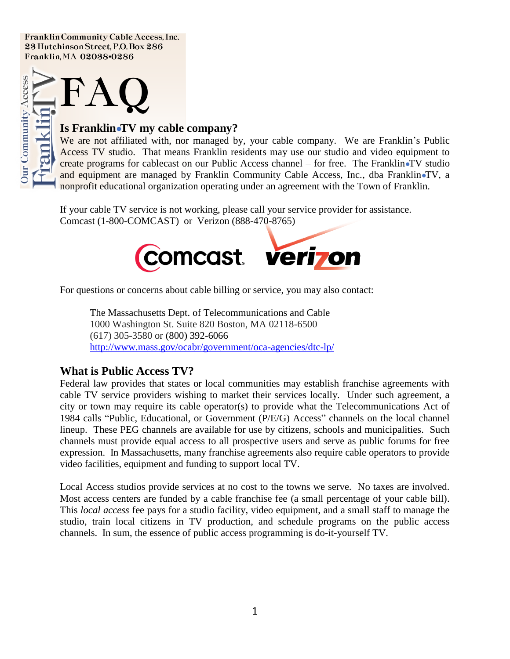Franklin Community Cable Access, Inc. 23 Hutchinson Street, P.O. Box 286 Franklin, MA 02038▪0286



### **Is Franklin●TV my cable company?**

We are not affiliated with, nor managed by, your cable company. We are Franklin's Public Access TV studio. That means Franklin residents may use our studio and video equipment to create programs for cablecast on our Public Access channel – for free. The Franklin●TV studio and equipment are managed by Franklin Community Cable Access, Inc., dba Franklin•TV, a nonprofit educational organization operating under an agreement with the Town of Franklin.

If your cable TV service is not working, please call your service provider for assistance. Comcast (1-800-COMCAST) or Verizon (888-470-8765)



For questions or concerns about cable billing or service, you may also contact:

The Massachusetts Dept. of Telecommunications and Cable 1000 Washington St. Suite 820 Boston, MA 02118-6500 (617) 305-3580 or (800) 392-6066 <http://www.mass.gov/ocabr/government/oca-agencies/dtc-lp/>

### **What is Public Access TV?**

Federal law provides that states or local communities may establish franchise agreements with cable TV service providers wishing to market their services locally. Under such agreement, a city or town may require its cable operator(s) to provide what the Telecommunications Act of 1984 calls "Public, Educational, or Government (P/E/G) Access" channels on the local channel lineup. These PEG channels are available for use by citizens, schools and municipalities. Such channels must provide equal access to all prospective users and serve as public forums for free expression. In Massachusetts, many franchise agreements also require cable operators to provide video facilities, equipment and funding to support local TV.

Local Access studios provide services at no cost to the towns we serve. No taxes are involved. Most access centers are funded by a cable franchise fee (a small percentage of your cable bill). This *local access* fee pays for a studio facility, video equipment, and a small staff to manage the studio, train local citizens in TV production, and schedule programs on the public access channels. In sum, the essence of public access programming is do-it-yourself TV.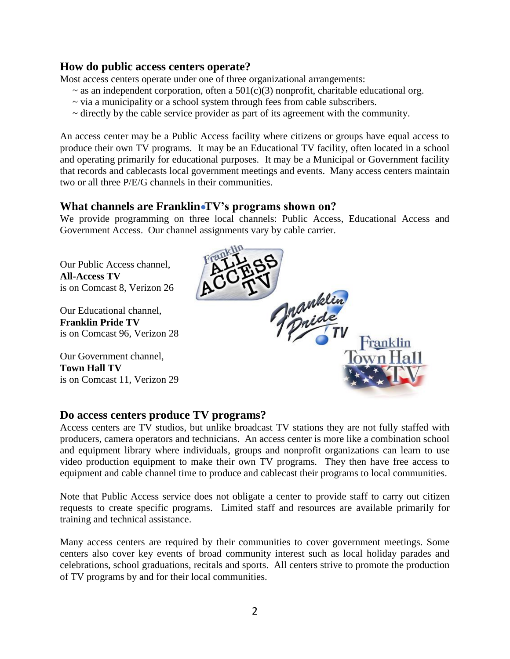## **How do public access centers operate?**

Most access centers operate under one of three organizational arrangements:

- $\sim$  as an independent corporation, often a 501(c)(3) nonprofit, charitable educational org.
- ~ via a municipality or a school system through fees from cable subscribers.
- ~ directly by the cable service provider as part of its agreement with the community.

An access center may be a Public Access facility where citizens or groups have equal access to produce their own TV programs. It may be an Educational TV facility, often located in a school and operating primarily for educational purposes. It may be a Municipal or Government facility that records and cablecasts local government meetings and events. Many access centers maintain two or all three P/E/G channels in their communities.

# **What channels are Franklin●TV's programs shown on?**

We provide programming on three local channels: Public Access, Educational Access and Government Access. Our channel assignments vary by cable carrier.

Our Public Access channel, **All-Access TV**  is on Comcast 8, Verizon 26

Our Educational channel, **Franklin Pride TV**  is on Comcast 96, Verizon 28

Our Government channel, **Town Hall TV**  is on Comcast 11, Verizon 29



# **Do access centers produce TV programs?**

Access centers are TV studios, but unlike broadcast TV stations they are not fully staffed with producers, camera operators and technicians. An access center is more like a combination school and equipment library where individuals, groups and nonprofit organizations can learn to use video production equipment to make their own TV programs. They then have free access to equipment and cable channel time to produce and cablecast their programs to local communities.

Note that Public Access service does not obligate a center to provide staff to carry out citizen requests to create specific programs. Limited staff and resources are available primarily for training and technical assistance.

Many access centers are required by their communities to cover government meetings. Some centers also cover key events of broad community interest such as local holiday parades and celebrations, school graduations, recitals and sports. All centers strive to promote the production of TV programs by and for their local communities.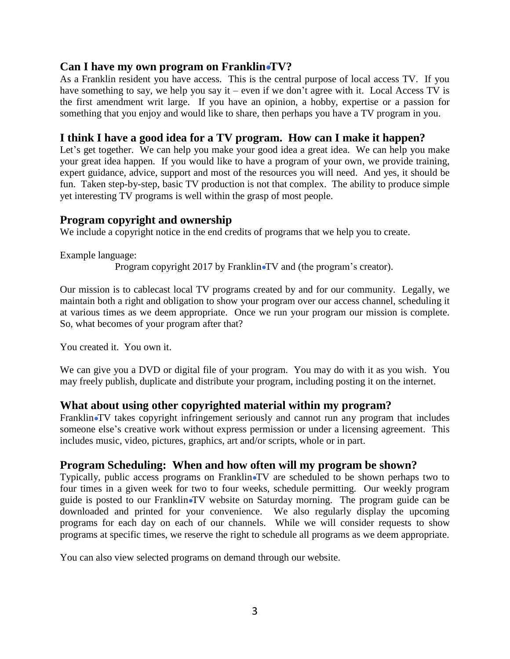### **Can I have my own program on Franklin●TV?**

As a Franklin resident you have access. This is the central purpose of local access TV. If you have something to say, we help you say it – even if we don't agree with it. Local Access TV is the first amendment writ large. If you have an opinion, a hobby, expertise or a passion for something that you enjoy and would like to share, then perhaps you have a TV program in you.

# **I think I have a good idea for a TV program. How can I make it happen?**

Let's get together. We can help you make your good idea a great idea. We can help you make your great idea happen. If you would like to have a program of your own, we provide training, expert guidance, advice, support and most of the resources you will need. And yes, it should be fun. Taken step-by-step, basic TV production is not that complex. The ability to produce simple yet interesting TV programs is well within the grasp of most people.

### **Program copyright and ownership**

We include a copyright notice in the end credits of programs that we help you to create.

Example language:

Program copyright 2017 by Franklin•TV and (the program's creator).

Our mission is to cablecast local TV programs created by and for our community. Legally, we maintain both a right and obligation to show your program over our access channel, scheduling it at various times as we deem appropriate. Once we run your program our mission is complete. So, what becomes of your program after that?

You created it. You own it.

We can give you a DVD or digital file of your program. You may do with it as you wish. You may freely publish, duplicate and distribute your program, including posting it on the internet.

# **What about using other copyrighted material within my program?**

Franklin•TV takes copyright infringement seriously and cannot run any program that includes someone else's creative work without express permission or under a licensing agreement. This includes music, video, pictures, graphics, art and/or scripts, whole or in part.

# **Program Scheduling: When and how often will my program be shown?**

Typically, public access programs on Franklin•TV are scheduled to be shown perhaps two to four times in a given week for two to four weeks, schedule permitting. Our weekly program guide is posted to our Franklin●TV website on Saturday morning. The program guide can be downloaded and printed for your convenience. We also regularly display the upcoming programs for each day on each of our channels. While we will consider requests to show programs at specific times, we reserve the right to schedule all programs as we deem appropriate.

You can also view selected programs on demand through our website.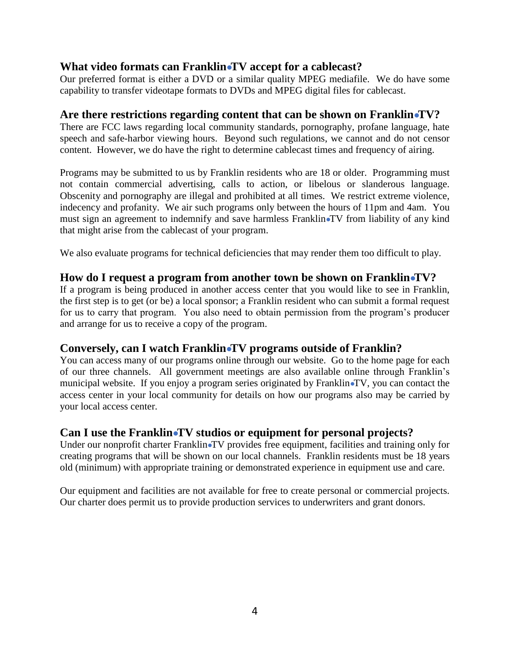# **What video formats can Franklin●TV accept for a cablecast?**

Our preferred format is either a DVD or a similar quality MPEG mediafile. We do have some capability to transfer videotape formats to DVDs and MPEG digital files for cablecast.

## **Are there restrictions regarding content that can be shown on Franklin●TV?**

There are FCC laws regarding local community standards, pornography, profane language, hate speech and safe-harbor viewing hours. Beyond such regulations, we cannot and do not censor content. However, we do have the right to determine cablecast times and frequency of airing.

Programs may be submitted to us by Franklin residents who are 18 or older. Programming must not contain commercial advertising, calls to action, or libelous or slanderous language. Obscenity and pornography are illegal and prohibited at all times. We restrict extreme violence, indecency and profanity. We air such programs only between the hours of 11pm and 4am. You must sign an agreement to indemnify and save harmless Franklin●TV from liability of any kind that might arise from the cablecast of your program.

We also evaluate programs for technical deficiencies that may render them too difficult to play.

### **How do I request a program from another town be shown on Franklin●TV?**

If a program is being produced in another access center that you would like to see in Franklin, the first step is to get (or be) a local sponsor; a Franklin resident who can submit a formal request for us to carry that program. You also need to obtain permission from the program's producer and arrange for us to receive a copy of the program.

# **Conversely, can I watch Franklin●TV programs outside of Franklin?**

You can access many of our programs online through our website. Go to the home page for each of our three channels. All government meetings are also available online through Franklin's municipal website. If you enjoy a program series originated by Franklin●TV, you can contact the access center in your local community for details on how our programs also may be carried by your local access center.

# **Can I use the Franklin●TV studios or equipment for personal projects?**

Under our nonprofit charter Franklin•TV provides free equipment, facilities and training only for creating programs that will be shown on our local channels. Franklin residents must be 18 years old (minimum) with appropriate training or demonstrated experience in equipment use and care.

Our equipment and facilities are not available for free to create personal or commercial projects. Our charter does permit us to provide production services to underwriters and grant donors.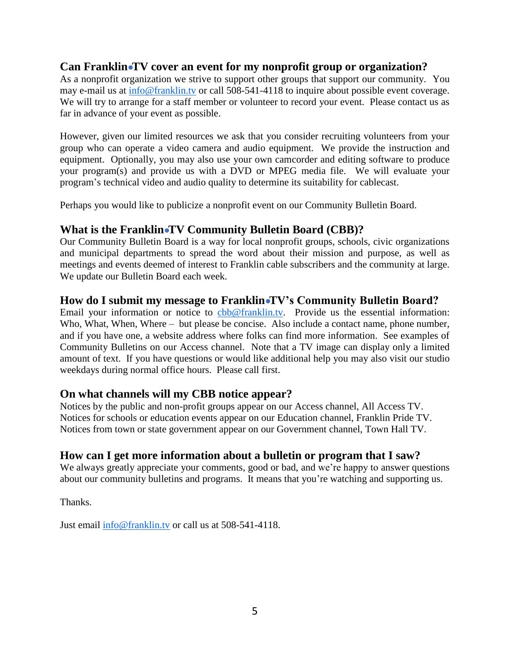# **Can Franklin●TV cover an event for my nonprofit group or organization?**

As a nonprofit organization we strive to support other groups that support our community. You may e-mail us at info@franklin.tv or call 508-541-4118 to inquire about possible event coverage. We will try to arrange for a staff member or volunteer to record your event. Please contact us as far in advance of your event as possible.

However, given our limited resources we ask that you consider recruiting volunteers from your group who can operate a video camera and audio equipment. We provide the instruction and equipment. Optionally, you may also use your own camcorder and editing software to produce your program(s) and provide us with a DVD or MPEG media file. We will evaluate your program's technical video and audio quality to determine its suitability for cablecast.

Perhaps you would like to publicize a nonprofit event on our Community Bulletin Board.

# **What is the Franklin●TV Community Bulletin Board (CBB)?**

Our Community Bulletin Board is a way for local nonprofit groups, schools, civic organizations and municipal departments to spread the word about their mission and purpose, as well as meetings and events deemed of interest to Franklin cable subscribers and the community at large. We update our Bulletin Board each week.

### **How do I submit my message to Franklin●TV's Community Bulletin Board?**

Email your information or notice to cbb@franklin.tv. Provide us the essential information: Who, What, When, Where – but please be concise. Also include a contact name, phone number, and if you have one, a website address where folks can find more information. See examples of Community Bulletins on our Access channel. Note that a TV image can display only a limited amount of text. If you have questions or would like additional help you may also visit our studio weekdays during normal office hours. Please call first.

# **On what channels will my CBB notice appear?**

Notices by the public and non-profit groups appear on our Access channel, All Access TV. Notices for schools or education events appear on our Education channel, Franklin Pride TV. Notices from town or state government appear on our Government channel, Town Hall TV.

# **How can I get more information about a bulletin or program that I saw?**

We always greatly appreciate your comments, good or bad, and we're happy to answer questions about our community bulletins and programs. It means that you're watching and supporting us.

Thanks.

Just email  $\frac{\text{info@franklin.tv}}{\text{train@franklin.tv}}$  or call us at 508-541-4118.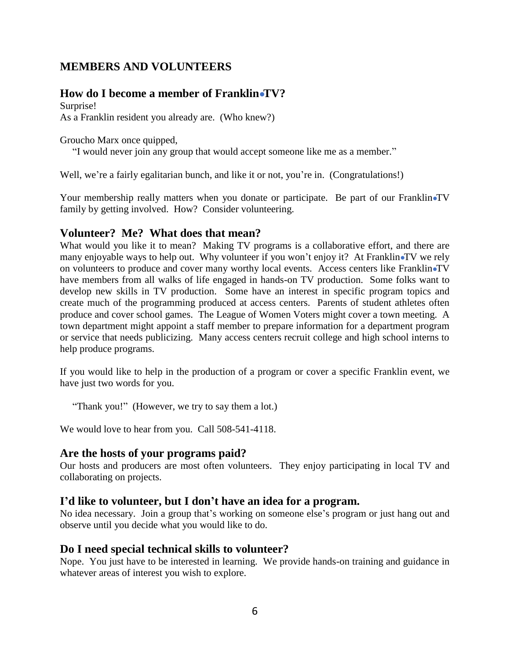# **MEMBERS AND VOLUNTEERS**

### **How do I become a member of Franklin●TV?**

Surprise! As a Franklin resident you already are. (Who knew?)

Groucho Marx once quipped,

"I would never join any group that would accept someone like me as a member."

Well, we're a fairly egalitarian bunch, and like it or not, you're in. (Congratulations!)

Your membership really matters when you donate or participate. Be part of our Franklin•TV family by getting involved. How? Consider volunteering.

### **Volunteer? Me? What does that mean?**

What would you like it to mean? Making TV programs is a collaborative effort, and there are many enjoyable ways to help out. Why volunteer if you won't enjoy it? At Franklin•TV we rely on volunteers to produce and cover many worthy local events. Access centers like Franklin•TV have members from all walks of life engaged in hands-on TV production. Some folks want to develop new skills in TV production. Some have an interest in specific program topics and create much of the programming produced at access centers. Parents of student athletes often produce and cover school games. The League of Women Voters might cover a town meeting. A town department might appoint a staff member to prepare information for a department program or service that needs publicizing. Many access centers recruit college and high school interns to help produce programs.

If you would like to help in the production of a program or cover a specific Franklin event, we have just two words for you.

"Thank you!" (However, we try to say them a lot.)

We would love to hear from you. Call 508-541-4118.

### **Are the hosts of your programs paid?**

Our hosts and producers are most often volunteers. They enjoy participating in local TV and collaborating on projects.

### **I'd like to volunteer, but I don't have an idea for a program.**

No idea necessary. Join a group that's working on someone else's program or just hang out and observe until you decide what you would like to do.

### **Do I need special technical skills to volunteer?**

Nope. You just have to be interested in learning. We provide hands-on training and guidance in whatever areas of interest you wish to explore.